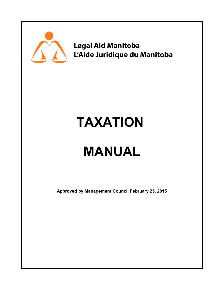

**Legal Aid Manitoba** L'Aide Juridique du Manitoba

# **TAXATION**

# **MANUAL**

**Approved by Management Council February 25, 2015**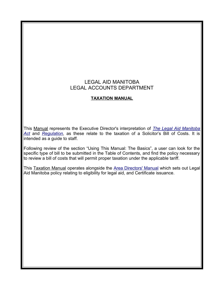# LEGAL AID MANITOBA LEGAL ACCOUNTS DEPARTMENT

# **TAXATION MANUAL**

This Manual represents the Executive Director's interpretation of *[The Legal Aid Manitoba](http://web2.gov.mb.ca/laws/statutes/ccsm/l105e.php) [Act](http://web2.gov.mb.ca/laws/statutes/ccsm/l105e.php)* and *[Regulation,](http://web2.gov.mb.ca/laws/regs/current/_pdf-regs.php?reg=225/91)* as these relate to the taxation of a Solicitor's Bill of Costs. It is intended as a guide to staff.

Following review of the section "Using This Manual: The Basics", a user can look for the specific type of bill to be submitted in the Table of Contents, and find the policy necessary to review a bill of costs that will permit proper taxation under the applicable tariff.

This Taxation Manual operates alongside the [Area Directors' Manual](http://www.legalaid.mb.ca/pdf/ADM_EXTERNAL_May27_2014.pdf) which sets out Legal Aid Manitoba policy relating to eligibility for legal aid, and Certificate issuance.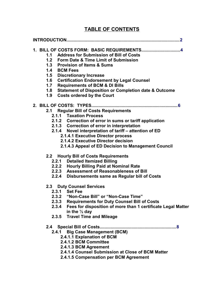# **TABLE OF CONTENTS**

| 1. BILL OF COSTS FORM: BASIC REQUIREMENTS4<br>1.1 Address for Submission of Bill of Costs<br>1.2 Form Date & Time Limit of Submission<br>1.3 Provision of Items & Sums<br>1.4 BCM Fees<br>1.5 Discretionary Increase<br>1.6 Certification Endorsement by Legal Counsel<br><b>Requirements of BCM &amp; DI Bills</b><br>1.7<br><b>Statement of Disposition or Completion date &amp; Outcome</b><br>1.8<br><b>Costs ordered by the Court</b><br>1.9                                                                           |
|-----------------------------------------------------------------------------------------------------------------------------------------------------------------------------------------------------------------------------------------------------------------------------------------------------------------------------------------------------------------------------------------------------------------------------------------------------------------------------------------------------------------------------|
| 2.1 Regular Bill of Costs Requirements<br>2.1.1 Taxation Process<br>2.1.2 Correction of error in sums or tariff application<br>2.1.3 Correction of error in interpretation<br>2.1.4 Novel interpretation of tariff - attention of ED<br>2.1.4.1 Executive Director process<br>2.1.4.2 Executive Director decision<br>2.1.4.3 Appeal of ED Decision to Management Council                                                                                                                                                    |
| 2.2 Hourly Bill of Costs Requirements<br><b>Detailed Itemized Billing</b><br>2.2.1<br>2.2.2 Hourly Billing Paid at Nominal Rate<br>2.2.3 Assessment of Reasonableness of Bill<br>2.2.4 Disbursements same as Regular bill of Costs<br><b>2.3 Duty Counsel Services</b><br>2.3.1 Set Fee<br>2.3.2 "Non-Case Bill" or "Non-Case Time"<br>2.3.3 Requirements for Duty Counsel Bill of Costs<br>2.3.4 Fees for disposition of more than 1 certificate Legal Matter<br>in the $\frac{1}{2}$ day<br>2.3.5 Travel Time and Mileage |
| 2.4.1 Big Case Management (BCM)<br>2.4.1.1 Explanation of BCM<br>2.4.1.2 BCM Committee<br>2.4.1.3 BCM Agreement<br>2.4.1.4 Counsel Submission at Close of BCM Matter<br>2.4.1.5 Compensation per BCM Agreement                                                                                                                                                                                                                                                                                                              |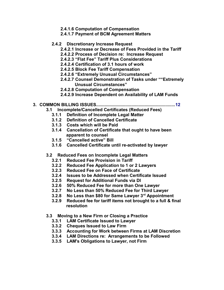- **2.4.1.6 Computation of Compensation**
- **2.4.1.7 Payment of BCM Agreement Matters**

# **2.4.2 Discretionary Increase Request**

- **2.4.2.1 Increase or Decrease of Fees Provided in the Tariff**
- **2.4.2.2 Process of Decision re: Increase Request**
- **2.4.2.3 "Flat Fee" Tariff Plus Considerations**
- **2.4.2.4 Certification of 3.1 hours of work**
- **2.4.2.5 Block Fee Tariff Compensation**
- **2.4.2.6 "Extremely Unusual Circumstances"**
- **2.4.2.7 Counsel Demonstration of Tasks under ""Extremely Unusual Circumstances"**
- **2.4.2.8 Computation of Compensation**
- **2.4.2.9 Increase Dependent on Availability of LAM Funds**

# **3. COMMON BILLING ISSUES.................................................................[1](#page-21-0)2**

- **3.1 Incomplete/Cancelled Certificates (Reduced Fees)**
	- **3.1.1 Definition of Incomplete Legal Matter**
	- **3.1.2 Definition of Cancelled Certificate**
	- **3.1.3 Costs which will be Paid**
	- **3.1.4 Cancellation of Certificate that ought to have been apparent to counsel**
	- **3.1.5 "Cancelled active" Bill**
	- **3.1.6 Cancelled Certificate until re-activated by lawyer**

# **3.2 Reduced Fees on Incomplete Legal Matters**

- **3.2.1 Reduced Fee Provision in Tariff**
- **3.2.2 Reduced Fee Application to 1 or 2 Lawyers**
- **3.2.3 Reduced Fee on Face of Certificate**
- **3.2.4 Issues to be Addressed when Certificate Issued**
- **3.2.5 Request for Additional Funds via DI**
- **3.2.6 50% Reduced Fee for more than One Lawyer**
- **3.2.7 No Less than 50% Reduced Fee for Third Lawyer**
- **3.2.8 No Less than \$80 for Same Lawyer 3rd Appointment**
- **3.2.9 Reduced fee for tariff items not brought to a full & final resolution**
- **3.3 Moving to a New Firm or Closing a Practice**
	- **3.3.1 LAM Certificate Issued to Lawyer**
	- **3.3.2 Cheques Issued to Law Firm**
	- **3.3.3 Accounting for Work between Firms at LAM Discretion**
	- **3.3.4 LAM Directions re: Arrangements to be Followed**
	- **3.3.5 LAM's Obligations to Lawyer, not Firm**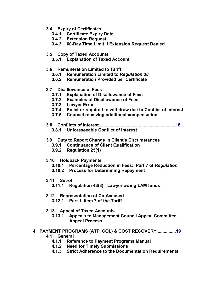- **3.4 Expiry of Certificates**
	- **3.4.1 Certificate Expiry Date**
	- **3.4.2 Extension Request**
	- **3.4.3 60-Day Time Limit if Extension Request Denied**
- **3.5 Copy of Taxed Accounts**
	- **3.5.1 Explanation of Taxed Account**
- **3.6 Remuneration Limited to Tariff**
	- **3.6.1 Remuneration Limited to** *Regulation 38*
	- **3.6.2 Remuneration Provided per Certificate**
- **3.7 Disallowance of Fees**
	- **3.7.1 Explanation of Disallowance of Fees**
	- **3.7.2 Examples of Disallowance of Fees**
	- **3.7.3 Lawyer Error**
	- **3.7.4 Solicitor required to withdraw due to Conflict of Interest**
	- **3.7.5 Counsel receiving additional compensation**
- **3.8 Conflicts of Interest...............................................................1[8](#page-26-0) 3.8.1 Unforeseeable Conflict of Interest**
- **3.9 Duty to Report Change in Client's Circumstances**
	- **3.9.1 Continuance of Client Qualification**
	- **3.9.2 Regulation 25(1)**
- **3.10 Holdback Payments**
	- **3.10.1 Percentage Reduction in Fees: Part 7 of** *Regulation*
	- **3.10.2 Process for Determining Repayment**
- **3.11 Set-off**
	- **3.11.1 Regulation 43(3): Lawyer owing LAM funds**
- **3.12 Representation of Co-Accused**
	- **3.12.1 Part 1, Item 7 of the Tariff**
- **3.13 Appeal of Taxed Accounts**
	- **3.13.1 Appeals to Management Council Appeal Committee Appeal Process**
- **4. PAYMENT PROGRAMS (ATP, COL) & COST RECOVERY...............[.1](#page-28-0)9 4.1 General**
	- **4.1.1 Reference to Payment Programs Manual**
	- **4.1.2 Need for Timely Submissions**
	- **4.1.3 Strict Adherence to the Documentation Requirements**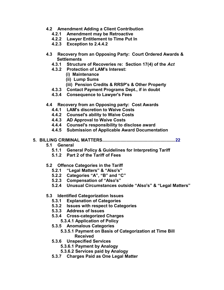- **4.2 Amendment Adding a Client Contribution**
	- **4.2.1 Amendment may be Retroactive**
	- **4.2.2 Lawyer Entitlement to Time Put In**
	- **4.2.3 Exception to 2.4.4.2**
- **4.3 Recovery from an Opposing Party: Court Ordered Awards & Settlements**
	- **4.3.1 Structure of Recoveries re: Section 17(4) of the** *Act*
	- **4.3.2 Protection of LAM's Interest:**
		- **(i) Maintenance**
		- **(ii) Lump Sums**
		- **(iii) Pension Credits & RRSP's & Other Property**
	- **4.3.3 Contact Payment Programs Dept., if in doubt**
	- **4.3.4 Consequence to Lawyer's Fees**
- **4.4 Recovery from an Opposing party: Cost Awards**
	- **4.4.1 LAM's discretion to Waive Costs**
	- **4.4.2 Counsel's ability to Waive Costs**
	- **4.4.3 AD Approval to Waive Costs**
	- **4.4.4 Counsel's responsibility to disclose award**
	- **4.4.5 Submission of Applicable Award Documentation**

# **5. BILLING CRIMINAL MATTERS...........................................................[.2](#page-31-0)2**

- **5.1 General**
	- **5.1.1 General Policy & Guidelines for Interpreting Tariff**
	- **5.1.2 Part 2 of the Tariff of Fees**

#### **5.2 Offence Categories in the Tariff**

- **5.2.1 "Legal Matters" & "Also's"**
- **5.2.2 Categories "A", "B" and "C"**
- **5.2.3 Compensation of "Also's"**
- **5.2.4 Unusual Circumstances outside "Also's" & "Legal Matters"**

#### **5.3 Identified Categorization Issues**

- **5.3.1 Explanation of Categories**
- **5.3.2 Issues with respect to Categories**
- **5.3.3 Address of Issues**
- **5.3.4 Cross-categorized Charges**
	- **5.3.4.1 Application of Policy**
- **5.3.5 Anomalous Categories**
	- **5.3.5.1 Payment on Basis of Categorization at Time Bill Received**
- **5.3.6 Unspecified Services**
	- **5.3.6.1 Payment by Analogy**
	- **5.3.6.2 Services paid by Analogy**
- **5.3.7 Charges Paid as One Legal Matter**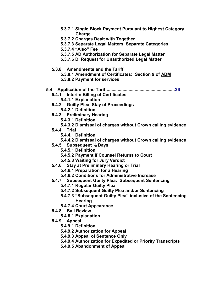**5.3.7.1 Single Block Payment Pursuant to Highest Category Charge 5.3.7.2 Charges Dealt with Together 5.3.7.3 Separate Legal Matters, Separate Categories 5.3.7.4 "Also" Fee 5.3.7.5 AD Authorization for Separate Legal Matter 5.3.7.6 DI Request for Unauthorized Legal Matter 5.3.8 Amendments and the Tariff 5.3.8.1 Amendment of Certificates: Section 9 of ADM 5.3.8.2 Payment for services 5.4 Application of the Tariff.......................................................[.2](#page-35-0)6 5.4.1 Interim Billing of Certificates 5.4.1.1 Explanation 5.4.2 Guilty Plea, Stay of Proceedings 5.4.2.1 Definition 5.4.3 Preliminary Hearing 5.4.3.1 Definition 5.4.3.2 Dismissal of charges without Crown calling evidence 5.4.4 Trial 5.4.4.1 Definition 5.4.4.2 Dismissal of charges without Crown calling evidence 5.4.5 Subsequent ½ Days 5.4.5.1 Definition 5.4.5.2 Payment if Counsel Returns to Court 5.4.5.3 Waiting for Jury Verdict 5.4.6 Stay at Preliminary Hearing or Trial 5.4.6.1 Preparation for a Hearing 5.4.6.2 Conditions for Administrative Increase 5.4.7 Subsequent Guilty Plea: Subsequent Sentencing 5.4.7.1 Regular Guilty Plea 5.4.7.2 Subsequent Guilty Plea and/or Sentencing 5.4.7.3 "Subsequent Guilty Plea" inclusive of the Sentencing Hearing 5.4.7.4 Court Appearance 5.4.8 Bail Review 5.4.8.1 Explanation 5.4.9 Appeal 5.4.9.1 Definition 5.4.9.2 Authorization for Appeal 5.4.9.3 Appeal of Sentence Only 5.4.9.4 Authorization for Expedited or Priority Transcripts 5.4.9.5 Abandonment of Appeal**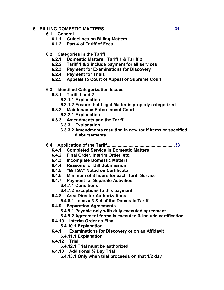# **6. BILLING DOMESTIC MATTERS.........................................................[.3](#page-40-0)1**

- **6.1 General**
	- **6.1.1 Guidelines on Billing Matters**
	- **6.1.2 Part 4 of Tariff of Fees**
- **6.2 Categories in the Tariff**
	- **6.2.1 Domestic Matters: Tariff 1 & Tariff 2**
	- **6.2.2 Tariff 1 & 2 include payment for all services**
	- **6.2.3 Payment for Examinations for Discovery**
	- **6.2.4 Payment for Trials**
	- **6.2.5 Appeals to Court of Appeal or Supreme Court**
- **6.3 Identified Categorization Issues**
	- **6.3.1 Tariff 1 and 2**
		- **6.3.1.1 Explanation**
		- **6.3.1.2 Ensure that Legal Matter is properly categorized**
	- **6.3.2 Maintenance Enforcement Court**
		- **6.3.2.1 Explanation**
	- **6.3.3 Amendments and the Tariff**
		- **6.3.3.1 Explanation**
		- **6.3.3.2 Amendments resulting in new tariff items or specified disbursements**

# **6.4 Application of the Tariff.......................................................[.3](#page-42-0)3**

- **6.4.1 Completed Service in Domestic Matters**
- **6.4.2 Final Order, Interim Order, etc.**
- **6.4.3 Incomplete Domestic Matters**
- **6.4.4 Reasons for Bill Submission**
- **6.4.5 "Bill SA" Noted on Certificate**
- **6.4.6 Minimum of 3 hours for each Tariff Service**
- **6.4.7 Payment for Separate Activities**
	- **6.4.7.1 Conditions**
	- **6.4.7.2 Exceptions to this payment**
- **6.4.8 Area Director Authorizations**
	- **6.4.8.1 Items # 3 & 4 of the Domestic Tariff**
- **6.4.9 Separation Agreements**
	- **6.4.9.1 Payable only with duly executed agreement**
	- **6.4.9.2 Agreement formally executed & include certification**
- **6.4.10 Interim Order as Final**
	- **6.4.10.1 Explanation**
- **6.4.11 Examinations for Discovery or on an Affidavit 6.4.11.1 Explanation**
- **6.4.12 Trial**
	- **6.4.12.1 Trial must be authorized**
- **6.4.13 Additional ½ Day Trial**
	- **6.4.13.1 Only when trial proceeds on that 1/2 day**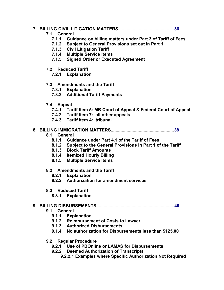# **7. BILLING CIVIL LITIGATION MATTERS..............................................3[6](#page-45-0)**

- **7.1 General**
	- **7.1.1 Guidance on billing matters under Part 3 of Tariff of Fees**
	- **7.1.2 Subject to General Provisions set out in Part 1**
	- **7.1.3 Civil Litigation Tariff**
	- **7.1.4 Multiple Service Items**
	- **7.1.5 Signed Order or Executed Agreement**
- **7.2 Reduced Tariff**
	- **7.2.1 Explanation**

# **7.3 Amendments and the Tariff**

- **7.3.1 Explanation**
- **7.3.2 Additional Tariff Payments**
- **7.4 Appeal**
	- **7.4.1 Tariff Item 5: MB Court of Appeal & Federal Court of Appeal**
	- **7.4.2 Tariff Item 7: all other appeals**
	- **7.4.3 Tariff Item 4: tribunal**

# **8. BILLING IMMIGRATION MATTERS....................................................[3](#page-47-0)8**

- **8.1 General**
	- **8.1.1 Guidance under Part 4.1 of the Tariff of Fees**
	- **8.1.2 Subject to the General Provisions in Part 1 of the Tariff**
	- **8.1.3 Block Tariff Amounts**
	- **8.1.4 Itemized Hourly Billing**
	- **8.1.5 Multiple Service Items**

# **8.2 Amendments and the Tariff**

- **8.2.1 Explanation**
- **8.2.2 Authorization for amendment services**
- **8.3 Reduced Tariff**
	- **8.3.1 Explanation**

# **9. BILLING DISBURSEMENTS................................................................[40](#page-49-0)**

- **9.1 General**
	- **9.1.1 Explanation**
	- **9.1.2 Reimbursement of Costs to Lawyer**
	- **9.1.3 Authorized Disbursements**
	- **9.1.4 No authorization for Disbursements less than \$125.00**
- **9.2 Regular Procedure**
	- **9.2.1 Use of PBOnline or LAMAS for Disbursements**
	- **9.2.2 Deemed Authorization of Transcripts**
		- **9.2.2.1 Examples where Specific Authorization Not Required**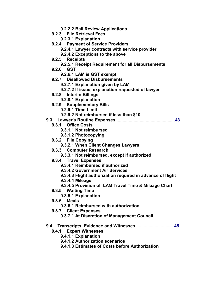- **9.2.2.2 Bail Review Applications**
- **9.2.3 File Retrieval Fees**
	- **9.2.3.1 Explanation**
- **9.2.4 Payment of Service Providers**
	- **9.2.4.1 Lawyer contracts with service provider**
	- **9.2.4.2 Exceptions to the above**
- **9.2.5 Receipts**
	- **9.2.5.1 Receipt Requirement for all Disbursements**
- **9.2.6 GST**
	- **9.2.6.1 LAM is GST exempt**
- **9.2.7 Disallowed Disbursements**
	- **9.2.7.1 Explanation given by LAM**
	- **9.2.7.2 If issue, explanation requested of lawyer**
- **9.2.8 Interim Billings**
	- **9.2.8.1 Explanation**
- **9.2.9 Supplementary Bills**
	- **9.2.9.1 Time Limit**
	- **9.2.9.2 Not reimbursed if less than \$10**
- **9.3 Lawyer's Routine Expenses................................................[.4](#page-52-0)3**
	- **9.3.1 Office Costs**
		- **9.3.1.1 Not reimbursed**
		- **9.3.1.2 Photocopying**
	- **9.3.2 File Copying**
		- **9.3.2.1 When Client Changes Lawyers**
	- **9.3.3 Computer Research**
		- **9.3.3.1 Not reimbursed, except if authorized**
	- **9.3.4 Travel Expenses**
		- **9.3.4.1 Reimbursed if authorized**
		- **9.3.4.2 Government Air Services**
		- **9.3.4.3 Flight authorization required in advance of flight**
		- **9.3.4.4 Mileage**
		- **9.3.4.5 Provision of LAM Travel Time & Mileage Chart**
	- **9.3.5 Waiting Time**
		- **9.3.5.1 Explanation**
	- **9.3.6 Meals**
		- **9.3.6.1 Reimbursed with authorization**
	- **9.3.7 Client Expenses**
		- **9.3.7.1 At Discretion of Management Council**
- **9.4 Transcripts, Evidence and Witnesses................................[4](#page-54-0)5**
	- **9.4.1 Expert Witnesses**
		- **9.4.1.1 Explanation**
		- **9.4.1.2 Authorization scenarios**
		- **9.4.1.3 Estimates of Costs before Authorization**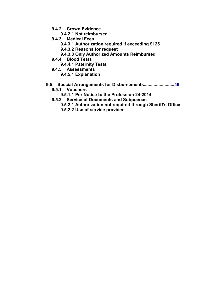- <span id="page-10-0"></span>**9.4.2 Crown Evidence**
	- **9.4.2.1 Not reimbursed**
- **9.4.3 Medical Fees**
	- **9.4.3.1 Authorization required if exceeding \$125**
	- **9.4.3.2 Reasons for request**
	- **9.4.3.3 Only Authorized Amounts Reimbursed**
- **9.4.4 Blood Tests**
	- **9.4.4.1 Paternity Tests**
- **9.4.5 Assessments**
	- **9.4.5.1 Explanation**

# **9.5 Special Arrangements for Disbursements........................[.4](#page-55-0)6**

- **9.5.1 Vouchers**
	- **9.5.1.1 Per Notice to the Profession 24-2014**
- **9.5.2 Service of Documents and Subpoenas**
	- **9.5.2.1 Authorization not required through Sheriff's Office**
	- **9.5.2.2 Use of service provider**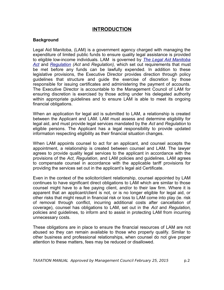# **INTRODUCTION**

## **Background**

Legal Aid Manitoba, (LAM) is a government agency charged with managing the expenditure of limited public funds to ensure quality legal assistance is provided to eligible low-income individuals. LAM is governed by *[The Legal Aid Manitoba](http://web2.gov.mb.ca/laws/statutes/ccsm/l105e.php) [Act](http://web2.gov.mb.ca/laws/statutes/ccsm/l105e.php)* and *[Regulation](http://web2.gov.mb.ca/laws/regs/current/_pdf-regs.php?reg=225/91) (Act* and *Regulation),* which set out requirements that must be met before any funds can be lawfully expended. In addition to these legislative provisions, the Executive Director provides direction through policy guidelines that structure and guide the exercise of discretion by those responsible for issuing certificates and administering the payment of accounts. The Executive Director is accountable to the Management Council of LAM for ensuring discretion is exercised by those acting under his delegated authority within appropriate guidelines and to ensure LAM is able to meet its ongoing financial obligations.

When an application for legal aid is submitted to LAM, a relationship is created between the Applicant and LAM. LAM must assess and determine eligibility for legal aid, and must provide legal services mandated by the *Act* and *Regulation* to eligible persons. The Applicant has a legal responsibility to provide updated information respecting eligibility as their financial situation changes.

When LAM appoints counsel to act for an applicant, and counsel accepts the appointment, a relationship is created between counsel and LAM. The lawyer agrees to provide quality legal services to the applicant in accordance with the provisions of the *Act*, *Regulation*, and LAM policies and guidelines. LAM agrees to compensate counsel in accordance with the applicable tariff provisions for providing the services set out in the applicant's legal aid Certificate.

Even in the context of the solicitor/client relationship, counsel appointed by LAM continues to have significant direct obligations to LAM which are similar to those counsel might have to a fee paying client, and/or to their law firm. Where it is apparent that an applicant/client is not, or is no longer eligible for legal aid, or other risks that might result in financial risk or loss to LAM come into play (ie. risk of removal through conflict, incurring additional costs after cancellation of coverage), counsel has obligations to LAM, set out in the *Act* and *Regulation,* policies and guidelines, to inform and to assist in protecting LAM from incurring unnecessary costs.

These obligations are in place to ensure the financial resources of LAM are not abused so they can remain available to those who properly qualify. Similar to other business and professional relationships, when counsel do not give proper attention to these matters, fees may be reduced or disallowed.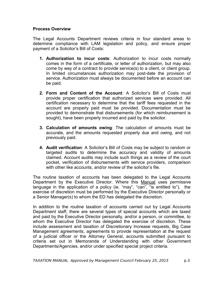#### **Process Overview**

The Legal Accounts Department reviews criteria in four standard areas to determine compliance with LAM legislation and policy, and ensure proper payment of a Solicitor's Bill of Costs:

- **1. Authorization to incur costs**: Authorization to incur costs normally comes in the form of a certificate, or letter of authorization, but may also come by way of a contract to provide service(s) to a client, or client group. In limited circumstances authorization may post-date the provision of service. Authorization must always be documented before an account can be paid.
- **2. Form and Content of the Account**: A Solicitor's Bill of Costs must provide proper certification that authorized services were provided. All certification necessary to determine that the tariff fees requested in the account are properly paid must be provided. Documentation must be provided to demonstrate that disbursements (for which reimbursement is sought), have been properly incurred and paid by the solicitor.
- **3. Calculation of amounts owing**: The calculation of amounts must be accurate, and the amounts requested properly due and owing, and not previously paid.
- **4. Audit verification**: A Solicitor's Bill of Costs may be subject to random or targeted audits to determine the accuracy and validity of amounts claimed. Account audits may include such things as a review of the court pocket, verification of disbursements with service providers, comparison with other like accounts, and/or review of the solicitor's file.

The routine taxation of accounts has been delegated to the Legal Accounts Department by the Executive Director. Where this Manual uses permissive language in the application of a policy (ie. "may", "can", "is entitled to"), the exercise of discretion must be performed by the Executive Director personally or a Senior Manager(s) to whom the ED has delegated the discretion.

In addition to the routine taxation of accounts carried out by Legal Accounts Department staff, there are several types of special accounts which are taxed and paid by the Executive Director personally, and/or a person, or committee, to whom the Executive Director has delegated the exercise of discretion. These include assessment and taxation of Discretionary Increase requests, Big Case Management agreements, agreements to provide representation at the request of a judicial officer or the Attorney General, accounts submitted pursuant to criteria set out in Memoranda of Understanding with other Government Departments/Agencies, and/or under specified special project criteria.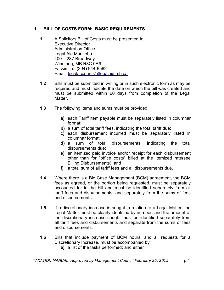# <span id="page-13-0"></span>**1. BILL OF COSTS FORM: BASIC REQUIREMENTS**

- **1.1** A Solicitors Bill of Costs must be presented to: Executive Director Administration Office Legal Aid Manitoba 400 – 287 Broadway Winnipeg, MB R3C 0R9 Facsimile: (204) 944-8582 Email: [legalaccounts@legalaid.mb.ca](mailto:legalaccounts@legalaid.mb.ca)
- **1.2** Bills must be submitted in writing or in such electronic form as may be required and must indicate the date on which the bill was created and must be submitted within 60 days from completion of the Legal Matter.
- **1.3** The following items and sums must be provided:
	- **a)** each Tariff item payable must be separately listed in columnar format;
	- **b)** a sum of total tariff fees, indicating the total tariff due;
	- **c)** each disbursement incurred must be separately listed in columnar format;
	- **d)** a sum of total disbursements, indicating the total disbursements due;
	- **e)** an itemized paid invoice and/or receipt for each disbursement other than for "office costs" billed at the itemized rate(see Billing Disbursements); and
	- **f)** a total sum of all tariff fees and all disbursements due.
- **1.4** Where there is a Big Case Management (BCM) agreement, the BCM fees as agreed, or the portion being requested, must be separately accounted for in the bill and must be identified separately from all tariff fees and disbursements, and separately from the sums of fees and disbursements.
- **1.5** If a discretionary increase is sought in relation to a Legal Matter, the Legal Matter must be clearly identified by number, and the amount of the discretionary increase sought must be identified separately from all tariff fees and disbursements and separate from the sums of fees and disbursements.
- **1.6** Bills that include payment of BCM hours, and all requests for a Discretionary Increase, must be accompanied by:
	- **a)** a list of the tasks performed; and either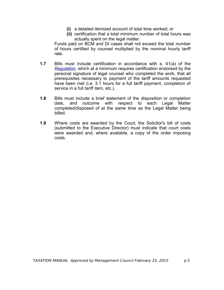- **(i)** a detailed itemized account of total time worked; or
- **(ii)** certification that a total minimum number of total hours was actually spent on the legal matter.

Funds paid on BCM and DI cases shall not exceed the total number of hours certified by counsel multiplied by the nominal hourly tariff rate.

- **1.7** Bills must include certification in accordance with s. 41(a) of the *[Regulation](http://web2.gov.mb.ca/laws/regs/current/_pdf-regs.php?reg=225/91)*, which at a minimum requires certification endorsed by the personal signature of legal counsel who completed the work, that all prerequisites necessary to payment of the tariff amounts requested have been met (i.e. 3.1 hours for a full tariff payment, completion of service in a full tariff item, etc.).
- **1.8** Bills must include a brief statement of the disposition or completion date, and outcome with respect to each Legal Matter completed/disposed of at the same time as the Legal Matter being billed.
- **1.9** Where costs are awarded by the Court, the Solicitor's bill of costs (submitted to the Executive Director) must indicate that court costs were awarded and, where available, a copy of the order imposing costs.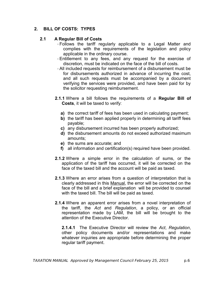# <span id="page-15-0"></span>**2. BILL OF COSTS: TYPES**

## **2.1 A Regular Bill of Costs**

- ◦Follows the tariff regularly applicable to a Legal Matter and complies with the requirements of the legislation and policy applicable in the ordinary course.
- ◦Entitlement to any fees, and any request for the exercise of discretion, must be indicated on the face of the bill of costs.
- ◦All included requests for reimbursement of a disbursement must be for disbursements authorized in advance of incurring the cost, and all such requests must be accompanied by a document verifying the services were provided, and have been paid for by the solicitor requesting reimbursement.
- **2.1.1** Where a bill follows the requirements of a **Regular Bill of Costs**, it will be taxed to verify:
	- **a)** the correct tariff of fees has been used in calculating payment;
	- **b)** the tariff has been applied properly in determining all tariff fees payable;
	- **c)** any disbursement incurred has been properly authorized;
	- **d)** the disbursement amounts do not exceed authorized maximum amounts;
	- **e)** the sums are accurate; and
	- **f)** all information and certification(s) required have been provided.
- **2.1.2** Where a simple error in the calculation of sums, or the application of the tariff has occurred, it will be corrected on the face of the taxed bill and the account will be paid as taxed.
- **2.1.3** Where an error arises from a question of interpretation that is clearly addressed in this Manual, the error will be corrected on the face of the bill and a brief explanation will be provided to counsel with the taxed bill. The bill will be paid as taxed.
- **2.1.4** Where an apparent error arises from a novel interpretation of the tariff, the *Act* and *Regulation*, a policy, or an official representation made by LAM, the bill will be brought to the attention of the Executive Director.

**2.1.4.1** The Executive Director will review the *Act*, *Regulation*, other policy documents and/or representations and make whatever inquiries are appropriate before determining the proper regular tariff payment.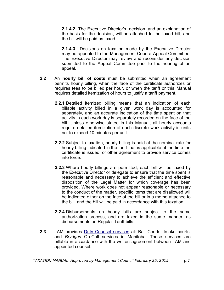**2.1.4.2** The Executive Director's decision, and an explanation of the basis for the decision, will be attached to the taxed bill, and the bill will be paid as taxed.

**2.1.4.3** Decisions on taxation made by the Executive Director may be appealed to the Management Council Appeal Committee. The Executive Director may review and reconsider any decision submitted to the Appeal Committee prior to the hearing of an appeal.

- **2.2** An **hourly bill of costs** must be submitted when an agreement permits hourly billing, when the face of the certificate authorizes or requires fees to be billed per hour, or when the tariff or this Manual requires detailed itemization of hours to justify a tariff payment.
	- **2.2.1** Detailed itemized billing means that an indication of each billable activity billed in a given work day is accounted for separately, and an accurate indication of the time spent on that activity in each work day is separately recorded on the face of the bill. Unless otherwise stated in this Manual, all hourly accounts require detailed itemization of each discrete work activity in units not to exceed 10 minutes per unit.
	- **2.2.2** Subject to taxation, hourly billing is paid at the nominal rate for hourly billing indicated in the tariff that is applicable at the time the certificate is issued, or other agreement to provide service comes into force.
	- **2.2.3** Where hourly billings are permitted, each bill will be taxed by the Executive Director or delegate to ensure that the time spent is reasonable and necessary to achieve the efficient and effective disposition of the Legal Matter for which coverage has been provided. Where work does not appear reasonable or necessary to the conduct of the matter, specific items that are disallowed will be indicated either on the face of the bill or in a memo attached to the bill, and the bill will be paid in accordance with this taxation.
	- **2.2.4** Disbursements on hourly bills are subject to the same authorization process, and are taxed in the same manner, as disbursements on Regular Tariff bills.
- **2.3** LAM provides [Duty Counsel services](http://www.legalaid.mb.ca/getting-legal-aid/finding-help/finding-help-in-court) at: Bail Courts; Intake courts; and *Brydges* On-Call services in Manitoba. These services are billable in accordance with the written agreement between LAM and appointed counsel.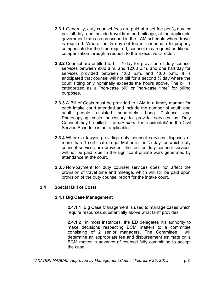- <span id="page-17-0"></span> **2.3.1** Generally, duty counsel fees are paid at a set fee per ½ day, or per full day, and include travel time and mileage, at the applicable government rates as prescribed in the LAM schedule where travel is required. Where the  $\frac{1}{2}$  day set fee is inadequate to properly compensate for the time required, counsel may request additional compensation through a request to the Executive Director.
- **2.3.2** Counsel are entitled to bill ½ day for provision of duty counsel services between 9:00 a.m. and 12:00 p.m. and one half day for services provided between 1:00 p.m. and 4:00 p.m.. It is anticipated that counsel will not bill for a second ½ day where the court sitting only nominally exceeds the hours above. The bill is categorized as a "non-case bill" or "non-case time" for billing purposes.
- **2.3.3** A Bill of Costs must be provided to LAM in a timely manner for each intake court attended and include the number of youth and adult people assisted separately. Long Distance and Photocopying costs necessary to provide services as Duty Counsel may be billed. The *per diem* for "incidentals" in the Civil Service Schedule is not applicable.
- **2.3.4** Where a lawyer providing duty counsel services disposes of more than 1 certificate Legal Matter in the  $\frac{1}{2}$  day for which duty counsel services are provided, the fee for duty counsel services will not be paid, due to the significant private work generated by attendance at the court.
- **2.3.5** Non-payment for duty counsel services does not affect the provision of travel time and mileage, which will still be paid upon provision of the duty counsel report for the intake court.

# **2.4 Special Bill of Costs**

#### **2.4.1 Big Case Management**

**2.4.1.1** Big Case Management is used to manage cases which require resources substantially above what tariff provides.

**2.4.1.2** In most instances, the ED delegates his authority to make decisions respecting BCM matters to a committee consisting of 2 senior managers. The Committee will determine an appropriate fee and disbursement estimate on a BCM matter in advance of counsel fully committing to accept the case.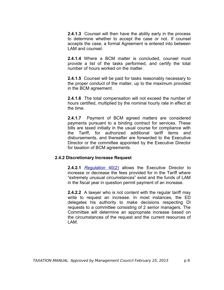**2.4.1.3** Counsel will then have the ability early in the process to determine whether to accept the case or not. If counsel accepts the case, a formal Agreement is entered into between LAM and counsel.

**2.4.1.4** Where a BCM matter is concluded, counsel must provide a list of the tasks performed, and certify the total number of hours worked on the matter.

**2.4.1.5** Counsel will be paid for tasks reasonably necessary to the proper conduct of the matter, up to the maximum provided in the BCM agreement.

**2.4.1.6** The total compensation will not exceed the number of hours certified, multiplied by the nominal hourly rate in effect at the time.

**2.4.1.7** Payment of BCM agreed matters are considered payments pursuant to a binding contract for services. These bills are taxed initially in the usual course for compliance with the Tariff, for authorized additional tariff items and disbursements, and thereafter are forwarded to the Executive Director or the committee appointed by the Executive Director for taxation of BCM agreements.

#### **2.4.2 Discretionary Increase Request**

**2.4.2.1** *[Regulation](http://web2.gov.mb.ca/laws/regs/current/_pdf-regs.php?reg=225/91)* 40(2) allows the Executive Director to increase or decrease the fees provided for in the Tariff where "extremely unusual circumstances" exist and the funds of LAM in the fiscal year in question permit payment of an increase.

**2.4.2.2** A lawyer who is not content with the regular tariff may write to request an increase. In most instances, the ED delegates his authority to make decisions respecting DI requests to a committee consisting of 2 senior managers. The Committee will determine an appropriate increase based on the circumstances of the request and the current resources of LAM.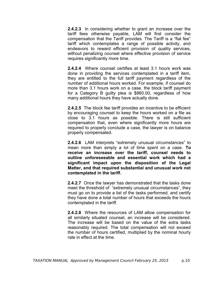**2.4.2.3** In considering whether to grant an increase over the tariff fees otherwise payable, LAM will first consider the compensation that the Tariff provides. The Tariff is a "flat fee" tariff which contemplates a range of possible activity, and endeavors to reward efficient provision of quality services, without penalizing counsel where effective provision of service requires significantly more time.

**2.4.2.4** Where counsel certifies at least 3.1 hours work was done in providing the services contemplated in a tariff item, they are entitled to the full tariff payment regardless of the number of additional hours worked. For example, if counsel do more than 3.1 hours work on a case, the block tariff payment for a Category B guilty plea is \$860.00, regardless of how many additional hours they have actually done.

**2.4.2.5** The block fee tariff provides an incentive to be efficient by encouraging counsel to keep the hours worked on a file as close to 3.1 hours as possible. There is still sufficient compensation that, even where significantly more hours are required to properly conclude a case, the lawyer is on balance properly compensated.

**2.4.2.6** LAM interprets "extremely unusual circumstances" to mean more than simply a lot of time spent on a case. **To receive an increase over the tariff, counsel needs to outline unforeseeable and essential work which had a significant impact upon the disposition of the Legal Matter, and that required substantial and unusual work not contemplated in the tariff.**

**2.4.2.7** Once the lawyer has demonstrated that the tasks done meet the threshold of "extremely unusual circumstances", they must go on to provide a list of the tasks performed, and certify they have done a total number of hours that exceeds the hours contemplated in the tariff.

**2.4.2.8** Where the resources of LAM allow compensation for all similarly situated counsel, an increase will be considered. The increase will be based on the value of the extra tasks reasonably required. The total compensation will not exceed the number of hours certified, multiplied by the nominal hourly rate in effect at the time.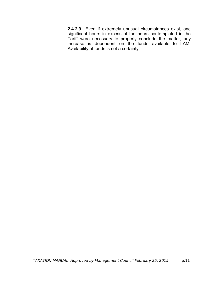**2.4.2.9** Even if extremely unusual circumstances exist, and significant hours in excess of the hours contemplated in the Tariff were necessary to properly conclude the matter, any increase is dependent on the funds available to LAM. Availability of funds is not a certainty.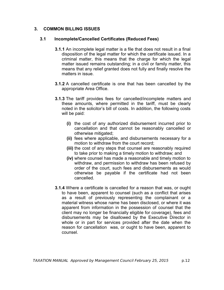# <span id="page-21-0"></span> **3. COMMON BILLING ISSUES**

#### **3.1 Incomplete/Cancelled Certificates (Reduced Fees)**

- **3.1.1** An incomplete legal matter is a file that does not result in a final disposition of the legal matter for which the certificate issued. In a criminal matter, this means that the charge for which the legal matter issued remains outstanding; in a civil or family matter, this means that any relief granted does not fully and finally resolve the matters in issue.
- **3.1.2** A cancelled certificate is one that has been cancelled by the appropriate Area Office.
- **3.1.3** The tariff provides fees for cancelled/incomplete matters and these amounts, where permitted in the tariff, must be clearly noted in the solicitor's bill of costs. In addition, the following costs will be paid:
	- **(i)** the cost of any authorized disbursement incurred prior to cancellation and that cannot be reasonably cancelled or otherwise mitigated;
	- **(ii)** fees where applicable, and disbursements necessary for a motion to withdraw from the court record;
	- **(iii)** the cost of any steps that counsel are reasonably required to take prior to making a timely motion to withdraw; and
	- **(iv)** where counsel has made a reasonable and timely motion to withdraw, and permission to withdraw has been refused by order of the court, such fees and disbursements as would otherwise be payable if the certificate had not been cancelled.
- **3.1.4** Where a certificate is cancelled for a reason that was, or ought to have been, apparent to counsel (such as a conflict that arises as a result of previously representing the complainant or a material witness whose name has been disclosed, or where it was apparent from information in the possession of counsel that the client may no longer be financially eligible for coverage), fees and disbursements may be disallowed by the Executive Director in whole or in part for services provided after the date when the reason for cancellation was, or ought to have been, apparent to counsel.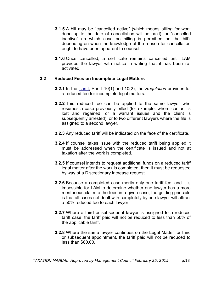- **3.1.5** A bill may be "cancelled active" (which means billing for work done up to the date of cancellation will be paid), or "cancelled inactive" (in which case no billing is permitted on the bill), depending on when the knowledge of the reason for cancellation ought to have been apparent to counsel.
- **3.1.6** Once cancelled, a certificate remains cancelled until LAM provides the lawyer with notice in writing that it has been reactivated.

#### **3.2 Reduced Fees on Incomplete Legal Matters**

- **3.2.1** In the [Tariff,](http://www.legalaid.mb.ca/pdf/tariff_2008.pdf) Part I 10(1) and 10(2), the *Regulation* provides for a reduced fee for incomplete legal matters.
- **3.2.2** This reduced fee can be applied to the same lawyer who resumes a case previously billed (for example, where contact is lost and regained, or a warrant issues and the client is subsequently arrested); or to two different lawyers where the file is assigned to a second lawyer.
- **3.2.3** Any reduced tariff will be indicated on the face of the certificate.
- **3.2.4** If counsel takes issue with the reduced tariff being applied it must be addressed when the certificate is issued and not at taxation after the work is completed.
- **3.2.5** If counsel intends to request additional funds on a reduced tariff legal matter after the work is completed, then it must be requested by way of a Discretionary Increase request.
- **3.2.6** Because a completed case merits only one tariff fee, and it is impossible for LAM to determine whether one lawyer has a more meritorious claim to the fees in a given case, the guiding principle is that all cases not dealt with completely by one lawyer will attract a 50% reduced fee to each lawyer.
- **3.2.7** Where a third or subsequent lawyer is assigned to a reduced tariff case, the tariff paid will not be reduced to less than 50% of the applicable tariff.
- **3.2.8** Where the same lawyer continues on the Legal Matter for third or subsequent appointment, the tariff paid will not be reduced to less than \$80.00.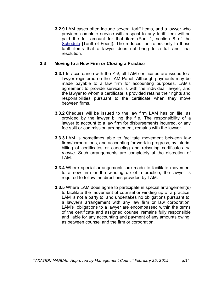**3.2.9** LAM cases often include several tariff items, and a lawyer who provides complete service with respect to any tariff item will be paid the full amount for that item (Part 1, section 8 of the [Schedule](http://www.legalaid.mb.ca/pdf/tariff_2008.pdf) [Tariff of Fees]). The reduced fee refers only to those tariff items that a lawyer does not bring to a full and final resolution.

#### **3.3 Moving to a New Firm or Closing a Practice**

- **3.3.1** In accordance with the *Act,* all LAM certificates are issued to a lawyer registered on the LAM Panel. Although payments may be made payable to a law firm for accounting purposes, LAM's agreement to provide services is with the individual lawyer, and the lawyer to whom a certificate is provided retains their rights and responsibilities pursuant to the certificate when they move between firms.
- **3.3.2** Cheques will be issued to the law firm LAM has on file, as provided by the lawyer billing the file. The responsibility of a lawyer to account to a law firm for disbursements incurred, or any fee split or commission arrangement, remains with the lawyer.
- **3.3.3** LAM is sometimes able to facilitate movement between law firms/corporations, and accounting for work in progress, by interim billing of certificates or canceling and reissuing certificates *en masse.* Such arrangements are completely at the discretion of LAM.
- **3.3.4** Where special arrangements are made to facilitate movement to a new firm or the winding up of a practice, the lawyer is required to follow the directions provided by LAM.
- **3.3.5** Where LAM does agree to participate in special arrangement(s) to facilitate the movement of counsel or winding up of a practice, LAM is not a party to, and undertakes no obligations pursuant to, a lawyer's arrangement with any law firm or law corporation. LAM's obligations to a lawyer are encompassed within the terms of the certificate and assigned counsel remains fully responsible and liable for any accounting and payment of any amounts owing, as between counsel and the firm or corporation.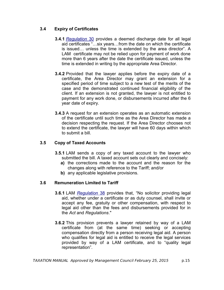# **3.4 Expiry of Certificates**

- **3.4.1** *[Regulation](http://web2.gov.mb.ca/laws/regs/current/_pdf-regs.php?reg=225/91)* 30 provides a deemed discharge date for all legal aid certificates "…six years…from the date on which the certificate is issued… unless the time is extended by the area director". A LAM certificate may not be relied upon for payment of work done more than 6 years after the date the certificate issued, unless the time is extended in writing by the appropriate Area Director.
- **3.4.2** Provided that the lawyer applies before the expiry date of a certificate, the Area Director may grant an extension for a specified period of time subject to a new test of the merits of the case and the demonstrated continued financial eligibility of the client. If an extension is not granted, the lawyer is not entitled to payment for any work done, or disbursements incurred after the 6 year date of expiry.
- **3.4.3** A request for an extension operates as an automatic extension of the certificate until such time as the Area Director has made a decision respecting the request. If the Area Director chooses not to extend the certificate, the lawyer will have 60 days within which to submit a bill.

# **3.5 Copy of Taxed Accounts**

- **3.5.1** LAM sends a copy of any taxed account to the lawyer who submitted the bill. A taxed account sets out clearly and concisely:
	- **a)** the corrections made to the account and the reason for the changes along with reference to the Tariff; and/or
	- **b)** any applicable legislative provisions.

# **3.6 Remuneration Limited to Tariff**

- **3.6.1** LAM *[Regulation](http://web2.gov.mb.ca/laws/regs/current/_pdf-regs.php?reg=225/91)* 38 provides that, "No solicitor providing legal aid, whether under a certificate or as duty counsel, shall invite or accept any fee, gratuity or other compensation, with respect to legal aid other than the fees and disbursements provided for in the *Act* and *Regulations*."
- **3.6.2** This provision prevents a lawyer retained by way of a LAM certificate from (at the same time) seeking or accepting compensation directly from a person receiving legal aid. A person who qualifies for legal aid is entitled to receive the legal services provided by way of a LAM certificate, and to "quality legal representation".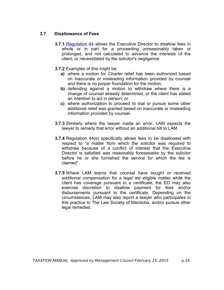# **3.7 Disallowance of Fees**

- **3.7.1** *[Regulation](http://web2.gov.mb.ca/laws/regs/current/_pdf-regs.php?reg=225/91)* 44 allows the Executive Director to disallow fees in whole or in part for a proceeding unreasonably taken or prolonged, and not calculated to advance the interests of the client, or necessitated by the solicitor's negligence.
- **3.7.2** Examples of this might be:
	- **a)** where a motion for *Charter* relief has been authorized based on inaccurate or misleading information provided by counsel and there is no proper foundation for the motion;
	- **b)** defending against a motion to withdraw where there is a change of counsel already determined, or the client has stated an intention to act in person; or
	- **c)** where authorization to proceed to trial or pursue some other additional relief was granted based on inaccurate or misleading information provided by counsel.
- **3.7.3** Similarly where the lawyer made an error, LAM expects the lawyer to remedy that error without an additional bill to LAM.
- **3.7.4** Regulation 44(e) specifically allows fees to be disallowed with respect to "a matter from which the solicitor was required to withdraw because of a conflict of interest that the Executive Director is satisfied was reasonably foreseeable by the solicitor before he or she furnished the service for which the fee is claimed".
- **3.7.5** Where LAM learns that counsel have sought or received additional compensation for a legal aid eligible matter while the client has coverage pursuant to a certificate, the ED may also exercise discretion to disallow payment for fees and/or disbursements pursuant to the certificate. Depending on the circumstances, LAM may also report a lawyer who participates in this practice to The Law Society of Manitoba, and/or pursue other legal remedies.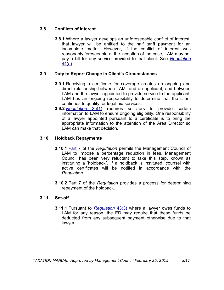# <span id="page-26-0"></span> **3.8 Conflicts of Interest**

 **3.8.1** Where a lawyer develops an unforeseeable conflict of interest, that lawyer will be entitled to the half tariff payment for an incomplete matter. However, if the conflict of interest was reasonably foreseeable at the inception of the case, LAM may not pay a bill for any service provided to that client. See *[Regulation](http://web2.gov.mb.ca/laws/regs/current/_pdf-regs.php?reg=225/91)* [44\(a\).](http://web2.gov.mb.ca/laws/regs/current/_pdf-regs.php?reg=225/91)

# **3.9 Duty to Report Change in Client's Circumstances**

- **3.9.1** Receiving a certificate for coverage creates an ongoing and direct relationship between LAM and an applicant; and between LAM and the lawyer appointed to provide service to the applicant. LAM has an ongoing responsibility to determine that the client continues to qualify for legal aid services.
- **3.9.2** *[Regulation](http://web2.gov.mb.ca/laws/regs/current/_pdf-regs.php?reg=225/91)* 25(1) requires solicitors to provide certain information to LAM to ensure ongoing eligibility. One responsibility of a lawyer appointed pursuant to a certificate is to bring the appropriate information to the attention of the Area Director so LAM can make that decision.

# **3.10 Holdback Repayments**

- **3.10.1** [Part 7](http://web2.gov.mb.ca/laws/regs/current/_pdf-regs.php?reg=225/91) of the *Regulation* permits the Management Council of LAM to impose a percentage reduction in fees. Management Council has been very reluctant to take this step, known as instituting a 'holdback". If a holdback is instituted, counsel with active certificates will be notified in accordance with the *Regulation*.
- **3.10.2** Part 7 of the *Regulation* provides a process for determining repayment of the holdback.

#### **3.11 Set-off**

 **3.11.1** Pursuant to *[Regulation](http://web2.gov.mb.ca/laws/regs/current/_pdf-regs.php?reg=225/91)* 43(3) where a lawyer owes funds to LAM for any reason, the ED may require that these funds be deducted from any subsequent payment otherwise due to that lawyer.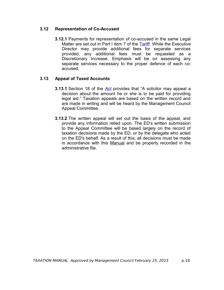# **3.12 Representation of Co-Accused**

 **3.12.1** Payments for representation of co-accused in the same Legal Matter are set out in Part I item 7 of the [Tariff.](http://www.legalaid.mb.ca/pdf/tariff_2008.pdf) While the Executive Director may provide additional fees for separate services provided, any additional fees must be requested as a Discretionary Increase. Emphasis will be on assessing any separate services necessary to the proper defence of each coaccused.

# **3.13 Appeal of Taxed Accounts**

- **3.13.1** Section 18 of the *[Act](http://web2.gov.mb.ca/laws/statutes/ccsm/l105e.php)* provides that "A solicitor may appeal a decision about the amount he or she is to be paid for providing legal aid." Taxation appeals are based on the written record and are made in writing and will be heard by the Management Council Appeal Committee.
- **3.13.2** The written appeal will set out the basis of the appeal, and provide any information relied upon. The ED's written submission to the Appeal Committee will be based largely on the record of taxation decisions made by the ED, or by the delegate who acted on the ED's behalf. As a result of this, all decisions must be made in accordance with this Manual and be properly recorded in the administrative file.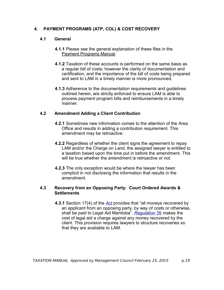# <span id="page-28-0"></span> **4. PAYMENT PROGRAMS (ATP, COL) & COST RECOVERY**

# **4.1 General**

- **4.1.1** Please see the general explanation of these files in the Payment Programs Manual.
- **4.1.2** Taxation of these accounts is performed on the same basis as a regular bill of costs; however the clarity of documentation and certification, and the importance of the bill of costs being prepared and sent to LAM in a timely manner is more pronounced.
- **4.1.3** Adherence to the documentation requirements and guidelines outlined herein, are strictly enforced to ensure LAM is able to process payment program bills and reimbursements in a timely manner.

# **4.2 Amendment Adding a Client Contribution**

- **4.2.1** Sometimes new information comes to the attention of the Area Office and results in adding a contribution requirement. This amendment may be retroactive.
- **4.2.2** Regardless of whether the client signs the agreement to repay LAM and/or the Charge on Land, the assigned lawyer is entitled to a taxation based upon the time put in before the amendment. This will be true whether the amendment is retroactive or not.
- **4.2.3** The only exception would be where the lawyer has been complicit in not disclosing the information that results in the amendment.

# **4.3 Recovery from an Opposing Party: Court Ordered Awards & Settlements**

 **4.3.1** Section 17(4) of the *[Act](http://web2.gov.mb.ca/laws/statutes/ccsm/l105e.php)* provides that "all moneys recovered by an applicant from an opposing party, by way of costs or otherwise, shall be paid to Legal Aid Manitoba". *[Regulation](http://web2.gov.mb.ca/laws/regs/current/_pdf-regs.php?reg=225/91)* 35 makes the cost of legal aid a charge against any money recovered by the client. This provision requires lawyers to structure recoveries so that they are available to LAM.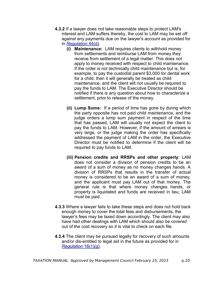- **4.3.2** If a lawyer does not take reasonable steps to protect LAM's interest and LAM suffers thereby, the cost to LAM may be set off against any payments due on the lawyer's account as provided for in *[Regulation](http://web2.gov.mb.ca/laws/regs/current/_pdf-regs.php?reg=225/91)* 44(d).
	- **(i) Maintenance:** LAM requires clients to withhold money from settlements and reimburse LAM from money they receive from settlement of a legal matter. This does not apply to money received with respect to child maintenance. If the order is not technically child maintenance but is, for example, to pay the custodial parent \$3,000 for dental work for a child, then it will generally be treated as child maintenance, and the client will not usually be required to pay the funds to LAM. The Executive Director should be notified if there is any question about how to characterize a settlement, prior to release of the money.
	- **(ii) Lump Sums:** If a period of time has gone by during which the party opposite has not paid child maintenance, and the judge orders a lump sum payment in respect of the time that has passed, LAM will usually not expect the client to pay the funds to LAM. However, if the amount of arrears is very large, or the judge making the order has specifically addressed the payment of LAM in the order, the Executive Director must be notified to determine if the client will be required to pay funds to LAM.
	- **(iii) Pension credits and RRSPs and other property**: LAM does not consider a division of pension credits to be an award of a sum of money as no money changes hands. A division of RRSPs that results in the transfer of actual money is considered to be an award of a sum of money, and the applicant must pay LAM out of that money. The general rule is that where money changes hands, or property is liquidated and funds are received in lieu, LAM must be paid.
- **4.3.3** Where a lawyer fails to take these steps and does not hold back enough money to cover the total fees and disbursements, the lawyer's fees may be taxed down accordingly. The client may also have had other dealings with LAM which should also be covered out of the cost recovery so it is vital to check on each file.
- **4.3.4** The client may be pursued legally for recovery of such amounts and/or dis-entitled to legal aid in the future as provided for in  *[Regulation](http://web2.gov.mb.ca/laws/regs/current/_pdf-regs.php?reg=225/91)* 16(1)(g).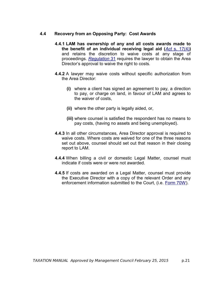## **4.4 Recovery from an Opposing Party: Cost Awards**

- **4.4.1 LAM has ownership of any and all costs awards made to** the benefit of an individual receiving legal aid  $(Act \simeq 17(4))$ and retains the discretion to waive costs at any stage of proceedings. *[Regulation](http://web2.gov.mb.ca/laws/regs/current/_pdf-regs.php?reg=225/91)* 31 requires the lawyer to obtain the Area Director's approval to waive the right to costs.
- **4.4.2** A lawyer may waive costs without specific authorization from the Area Director:
	- **(i)** where a client has signed an agreement to pay, a direction to pay, or charge on land, in favour of LAM and agrees to the waiver of costs,
	- **(ii)** where the other party is legally aided, or,
	- **(iii)** where counsel is satisfied the respondent has no means to pay costs, (having no assets and being unemployed).
- **4.4.3** In all other circumstances, Area Director approval is required to waive costs. Where costs are waived for one of the three reasons set out above, counsel should set out that reason in their closing report to LAM.
- **4.4.4** When billing a civil or domestic Legal Matter, counsel must indicate if costs were or were not awarded.
- **4.4.5** If costs are awarded on a Legal Matter, counsel must provide the Executive Director with a copy of the relevant Order and any enforcement information submitted to the Court, (i.e. [Form 70W\)](http://web2.gov.mb.ca/laws/rules/70we.pdf).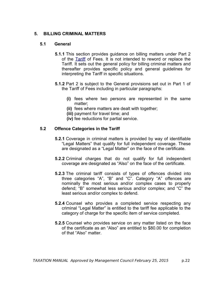#### <span id="page-31-0"></span> **5. BILLING CRIMINAL MATTERS**

#### **5.1 General**

- **5.1.1** This section provides guidance on billing matters under Part 2 of the [Tariff](http://www.legalaid.mb.ca/pdf/tariff_2008.pdf) of Fees. It is not intended to reword or replace the Tariff. It sets out the general policy for billing criminal matters and thereafter provides specific policy and general guidelines for interpreting the Tariff in specific situations.
- **5.1.2** Part 2 is subject to the General provisions set out in Part 1 of the Tariff of Fees including in particular paragraphs:
	- **(i)** fees where two persons are represented in the same matter;
	- **(ii)** fees where matters are dealt with together;
	- **(iii)** payment for travel time; and
	- **(iv)** fee reductions for partial service.

# **5.2 Offence Categories in the Tariff**

- **5.2.1** Coverage in criminal matters is provided by way of identifiable "Legal Matters" that qualify for full independent coverage. These are designated as a "Legal Matter" on the face of the certificate.
- **5.2.2** Criminal charges that do not qualify for full independent coverage are designated as "Also" on the face of the certificate.
- **5.2.3** The criminal tariff consists of types of offences divided into three categories "A", "B" and "C". Category "A" offences are nominally the most serious and/or complex cases to properly defend; "B" somewhat less serious and/or complex; and "C" the least serious and/or complex to defend.
- **5.2.4** Counsel who provides a completed service respecting any criminal "Legal Matter" is entitled to the tariff fee applicable to the category of charge for the specific item of service completed.
- **5.2.5** Counsel who provides service on any matter listed on the face of the certificate as an "Also" are entitled to \$80.00 for completion of that "Also" matter.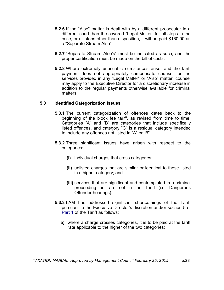- **5.2.6** If the "Also" matter is dealt with by a different prosecutor in a different court than the covered "Legal Matter" for all steps in the case, or all steps other than disposition, it will be paid \$160.00 as a "Separate Stream Also".
- **5.2.7** "Separate Stream Also's" must be indicated as such, and the proper certification must be made on the bill of costs.
- **5.2.8** Where extremely unusual circumstances arise, and the tariff payment does not appropriately compensate counsel for the services provided in any "Legal Matter" or "Also" matter, counsel may apply to the Executive Director for a discretionary increase in addition to the regular payments otherwise available for criminal matters.

#### **5.3 Identified Categorization Issues**

- **5.3.1** The current categorization of offences dates back to the beginning of the block fee tariff, as revised from time to time. Categories "A" and "B" are categories that include specifically listed offences, and category "C" is a residual category intended to include any offences not listed in "A" or "B".
- **5.3.2** Three significant issues have arisen with respect to the categories:
	- **(i)** individual charges that cross categories;
	- **(ii)** unlisted charges that are similar or identical to those listed in a higher category; and
	- **(iii)** services that are significant and contemplated in a criminal proceeding but are not in the Tariff (i.e. Dangerous Offender hearings).
- <span id="page-32-0"></span> **5.3.3** LAM has addressed significant shortcomings of the Tariff pursuant to the Executive Director's discretion and/or section 5 of [Part 1](http://www.legalaid.mb.ca/pdf/tariff_2008.pdf) of the Tariff as follows:
	- **a)** where a charge crosses categories, it is to be paid at the tariff rate applicable to the higher of the two categories;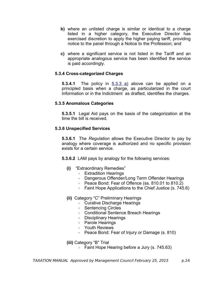- **b)** where an unlisted charge is similar or identical to a charge listed in a higher category, the Executive Director has exercised discretion to apply the higher paying tariff, providing notice to the panel through a Notice to the Profession; and
- **c)** where a significant service is not listed in the Tariff and an appropriate analogous service has been identified the service is paid accordingly.

#### **5.3.4 Cross-categorized Charges**

**5.3.4.1** The policy in [5.3.3 a\)](#page-32-0) above can be applied on a principled basis when a charge, as particularized in the court Information or in the Indictment as drafted, identifies the charges.

#### **5.3.5 Anomalous Categories**

**5.3.5.1** Legal Aid pays on the basis of the categorization at the time the bill is received.

# **5.3.6 Unspecified Services**

**5.3.6.1** The *Regulation* allows the Executive Director to pay by analogy where coverage is authorized and no specific provision exists for a certain service.

**5.3.6.2** LAM pays by analogy for the following services:

- **(i)** "Extraordinary Remedies"
	- Extradition Hearings
	- Dangerous Offender/Long Term Offender Hearings
	- Peace Bond: Fear of Offence (ss. 810.01 to 810.2)
	- Faint Hope Applications to the Chief Justice (s. 745.6)
- **(ii)** Category "C" Preliminary Hearings
	- Curative Discharge Hearings
	- Sentencing Circles
	- Conditional Sentence Breach Hearings
	- Disciplinary Hearings
	- Parole Hearings
	- Youth Reviews
	- Peace Bond: Fear of Injury or Damage (s. 810)

**(iii)** Category "B" Trial

◦ Faint Hope Hearing before a Jury (s. 745.63)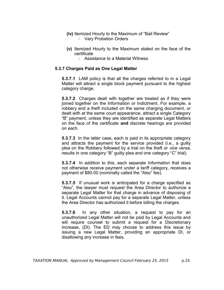- **(iv)** Itemized Hourly to the Maximum of "Bail Review" ◦ Vary Probation Orders
- **(v)** Itemized Hourly to the Maximum stated on the face of the certificate
	- Assistance to a Material Witness

#### **5.3.7 Charges Paid as One Legal Matter**

**5.3.7.1** LAM policy is that all the charges referred to in a Legal Matter will attract a single block payment pursuant to the highest category charge.

**5.3.7.2** Charges dealt with together are treated as if they were joined together on the Information or Indictment. For example, a robbery and a theft included on the same charging document, or dealt with at the same court appearance, attract a single Category "B" payment, unless they are identified as separate Legal Matters on the face of the certificate **and** discrete hearings are provided on each.

**5.3.7.3** In the latter case, each is paid in its appropriate category and attracts the payment for the service provided (i.e., a guilty plea on the Robbery followed by a trial on the theft or *vice versa,* results in one category "B" guilty plea and one category "C" trial).

**5.3.7.4** In addition to this, each separate Information that does not otherwise receive payment under a tariff category, receives a payment of \$80.00 (nominally called the "Also" fee).

**5.3.7.5** If unusual work is anticipated for a charge specified as "Also", the lawyer must request the Area Director to authorize a separate Legal Matter for that charge in advance of disposing of it. Legal Accounts cannot pay for a separate Legal Matter, unless the Area Director has authorized it before billing the charges.

**5.3.7.6** In any other situation, a request to pay for an unauthorized Legal Matter will not be paid by Legal Accounts and will require counsel to submit a request for a Discretionary Increase, (DI). The ED may choose to address this issue by issuing a new Legal Matter, providing an appropriate DI, or disallowing any increase in fees.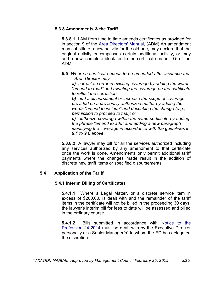## <span id="page-35-0"></span> **5.3.8 Amendments & the Tariff**

**5.3.8.1** LAM from time to time amends certificates as provided for in section 9 of the [Area Directors' Manual,](http://www.legalaid.mb.ca/pdf/ADM_EXTERNAL_May27_2014.pdf) (ADM) An amendment may substitute a new activity for the old one, may declare that the original activity encompasses certain additional activity, or may add a new, complete block fee to the certificate as per 9.5 of the ADM :

*9.5 Where a certificate needs to be amended after issuance the Area Director may:*

*a) correct an error in existing coverage by adding the words "amend to read" and rewriting the coverage on the certificate to reflect the correction;*

*b) add a disbursement or increase the scope of coverage provided on a previously authorized matter by adding the words "amend to include" and describing the change (e.g., permission to proceed to trial); or*

*c) authorize coverage within the same certificate by adding the phrase "amend to add" and adding a new paragraph identifying the coverage in accordance with the guidelines in 9.1 to 9.6 above.*

**5.3.8.2** A lawyer may bill for all the services authorized including any services authorized by any amendment to that certificate once the work is done. Amendments only permit additional tariff payments where the changes made result in the addition of discrete new tariff items or specified disbursements.

# **5.4 Application of the Tariff**

#### **5.4.1 Interim Billing of Certificates**

**5.4.1.1** Where a Legal Matter, or a discrete service item in excess of \$200.00, is dealt with and the remainder of the tariff items in the certificate will not be billed in the proceeding 30 days, the lawyer's interim bill for fees to date will be assessed and billed in the ordinary course.

**5.4.1.2** Bills submitted in accordance with [Notice to the](http://www.legalaid.mb.ca/pdf/np_24_2014.pdf) [Profession 24-2014](http://www.legalaid.mb.ca/pdf/np_24_2014.pdf) must be dealt with by the Executive Director personally or a Senior Manager(s) to whom the ED has delegated the discretion.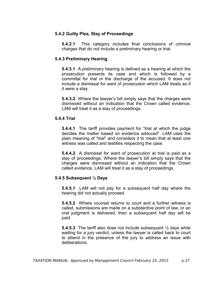# **5.4.2 Guilty Plea, Stay of Proceedings**

**5.4.2.1** This category includes final conclusions of criminal charges that do not include a preliminary hearing or trial.

## **5.4.3 Preliminary Hearing**

**5.4.3.1** A preliminary hearing is defined as a hearing at which the prosecution presents its case and which is followed by a committal for trial or the discharge of the accused. It does not include a dismissal for want of prosecution which LAM treats as if it were a stay.

**5.4.3.2** Where the lawyer's bill simply says that the charges were dismissed without an indication that the Crown called evidence, LAM will treat it as a stay of proceedings.

#### **5.4.4 Trial**

**5.4.4.1** The tariff provides payment for "trial at which the judge decides the matter based on evidence adduced". LAM uses the plain meaning of "trial" and considers it to mean that at least one witness was called and testifies respecting the case.

**5.4.4.2** A dismissal for want of prosecution at trial is paid as a stay of proceedings. Where the lawyer's bill simply says that the charges were dismissed without an indication that the Crown called evidence, LAM will treat it as a stay of proceedings.

#### **5.4.5 Subsequent ½ Days**

**5.4.5.1** LAM will not pay for a subsequent half day where the hearing did not actually proceed.

**5.4.5.2** Where counsel returns to court and a further witness is called, submissions are made on a substantive point of law, or an oral judgment is delivered, then a subsequent half day will be paid.

**5.4.5.3** The tariff also does not include subsequent ½ days while waiting for a jury verdict, unless the lawyer is called back to court to attend in the presence of the jury to address an issue with deliberations.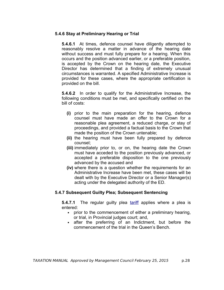## **5.4.6 Stay at Preliminary Hearing or Trial**

**5.4.6.1** At times, defence counsel have diligently attempted to reasonably resolve a matter in advance of the hearing date without success and must fully prepare for a hearing. When this occurs and the position advanced earlier, or a preferable position, is accepted by the Crown on the hearing date, the Executive Director has determined that a finding of extremely unusual circumstances is warranted. A specified Administrative Increase is provided for these cases, where the appropriate certification is provided on the bill.

**5.4.6.2** In order to qualify for the Administrative Increase, the following conditions must be met, and specifically certified on the bill of costs:

- **(i)** prior to the main preparation for the hearing, defence counsel must have made an offer to the Crown for a reasonable plea agreement, a reduced charge, or stay of proceedings, and provided a factual basis to the Crown that made the position of the Crown untenable;
- **(ii)** the hearing must have been fully prepared by defence counsel;
- **(iii)** immediately prior to, or on, the hearing date the Crown must have acceded to the position previously advanced, or accepted a preferable disposition to the one previously advanced by the accused and
- **(iv)** where there is a question whether the requirements for an Administrative Increase have been met, these cases will be dealt with by the Executive Director or a Senior Manager(s) acting under the delegated authority of the ED.

#### **5.4.7 Subsequent Guilty Plea; Subsequent Sentencing**

**5.4.7.1** The regular guilty plea [tariff](http://www.legalaid.mb.ca/pdf/tariff_2008.pdf) applies where a plea is entered:

- prior to the commencement of either a preliminary hearing, or trial, in Provincial judges court; and,
- **EXEC** in after the preferring of an Indictment, but before the commencement of the trial in the Queen's Bench.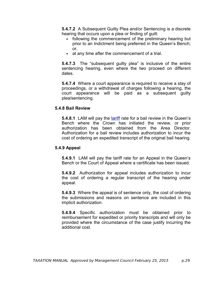**5.4.7.2** A Subsequent Guilty Plea and/or Sentencing is a discrete hearing that occurs upon a plea or finding of guilt:

- **following the commencement of the preliminary hearing but** prior to an Indictment being preferred in the Queen's Bench; or,
- **Example 1** at any time after the commencement of a trial.

**5.4.7.3** The "subsequent guilty plea" is inclusive of the entire sentencing hearing, even where the two proceed on different dates.

**5.4.7.4** Where a court appearance is required to receive a stay of proceedings, or a withdrawal of charges following a hearing, the court appearance will be paid as a subsequent guilty plea/sentencing.

#### **5.4.8 Bail Review**

**5.4.8.1** LAM will pay the [tariff](http://www.legalaid.mb.ca/pdf/tariff_2008.pdf) rate for a bail review in the Queen's Bench where the Crown has initiated the review, or prior authorization has been obtained from the Area Director. Authorization for a bail review includes authorization to incur the cost of ordering an expedited transcript of the original bail hearing.

#### **5.4.9 Appeal**

**5.4.9.1** LAM will pay the tariff rate for an Appeal in the Queen's Bench or the Court of Appeal where a certificate has been issued.

**5.4.9.2** Authorization for appeal includes authorization to incur the cost of ordering a regular transcript of the hearing under appeal.

**5.4.9.3** Where the appeal is of sentence only, the cost of ordering the submissions and reasons on sentence are included in this implicit authorization.

**5.4.9.4** Specific authorization must be obtained prior to reimbursement for expedited or priority transcripts and will only be provided where the circumstance of the case justify incurring the additional cost.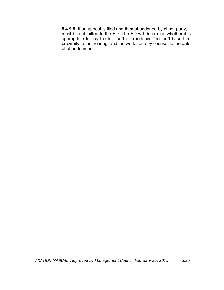**5.4.9.5** If an appeal is filed and then abandoned by either party, it must be submitted to the ED. The ED will determine whether it is appropriate to pay the full tariff or a reduced fee tariff based on proximity to the hearing, and the work done by counsel to the date of abandonment.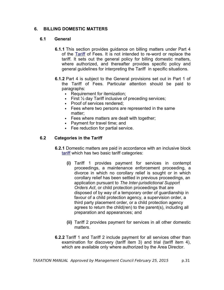## <span id="page-40-0"></span> **6. BILLING DOMESTIC MATTERS**

#### **6.1 General**

- **6.1.1** This section provides guidance on billing matters under Part 4 of the [Tariff](http://www.legalaid.mb.ca/pdf/tariff_2008.pdf) of Fees. It is not intended to re-word or replace the tariff. It sets out the general policy for billing domestic matters, where authorized, and thereafter provides specific policy and general guidelines for interpreting the Tariff in specific situations.
- **6.1.2** Part 4 is subject to the General provisions set out in Part 1 of the Tariff of Fees. Particular attention should be paid to paragraphs:
	- Requirement for itemization:
	- **First**  $\frac{1}{2}$  **day Tariff inclusive of preceding services;**
	- **Proof of services rendered:**
	- Fees where two persons are represented in the same matter;
	- **Example 1** Fees where matters are dealt with together;
	- **Payment for travel time; and**
	- Fee reduction for partial service.

#### **6.2 Categories in the Tariff**

- **6.2.1** Domestic matters are paid in accordance with an inclusive block [tariff](http://www.legalaid.mb.ca/pdf/tariff_2008.pdf) which has two basic tariff categories:
	- **(i)** Tariff 1 provides payment for services in contempt proceedings, a maintenance enforcement proceeding, a divorce in which no corollary relief is sought or in which corollary relief has been settled in previous proceedings, an application pursuant to *The Inter-jurisdictional Support Orders Act*, or child protection proceedings that are disposed of by way of a temporary order of guardianship in favour of a child protection agency, a supervision order, a third party placement order, or a child protection agency agrees to return the child(ren) to the parent(s), including all preparation and appearances; and
	- **(ii)** Tariff 2 provides payment for services in all other domestic matters.
- **6.2.2** Tariff 1 and Tariff 2 include payment for all services other than examination for discovery (tariff item 3) and trial (tariff item 4), which are available only where authorized by the Area Director.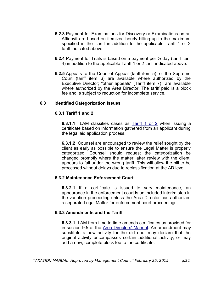- **6.2.3** Payment for Examinations for Discovery or Examinations on an Affidavit are based on itemized hourly billing up to the maximum specified in the Tariff in addition to the applicable Tariff 1 or 2 tariff indicated above.
- **6.2.4** Payment for Trials is based on a payment per ½ day (tariff item 4) in addition to the applicable Tariff 1 or 2 tariff indicated above.
- **6.2.5** Appeals to the Court of Appeal (tariff item 5), or the Supreme Court (tariff item 6) are available where authorized by the Executive Director; "other appeals" (Tariff item 7) are available where authorized by the Area Director. The tariff paid is a block fee and is subject to reduction for incomplete service.

#### **6.3 Identified Categorization Issues**

#### **6.3.1 Tariff 1 and 2**

**6.3.1.1** LAM classifies cases as [Tariff 1 or 2](http://www.legalaid.mb.ca/pdf/tariff_2008.pdf) when issuing a certificate based on information gathered from an applicant during the legal aid application process.

**6.3.1.2** Counsel are encouraged to review the relief sought by the client as early as possible to ensure the Legal Matter is properly categorized. Counsel should request the categorization be changed promptly where the matter, after review with the client, appears to fall under the wrong tariff. This will allow the bill to be processed without delays due to reclassification at the AD level.

#### **6.3.2 Maintenance Enforcement Court**

**6.3.2.1** If a certificate is issued to vary maintenance, an appearance in the enforcement court is an included interim step in the variation proceeding unless the Area Director has authorized a separate Legal Matter for enforcement court proceedings.

#### **6.3.3 Amendments and the Tariff**

**6.3.3.1** LAM from time to time amends certificates as provided for in section 9.5 of the [Area Directors' Manual.](http://www.legalaid.mb.ca/pdf/ADM_EXTERNAL_May27_2014.pdf) An amendment may substitute a new activity for the old one, may declare that the original activity encompasses certain additional activity, or may add a new, complete block fee to the certificate.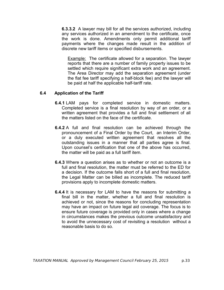<span id="page-42-0"></span>**6.3.3.2** A lawyer may bill for all the services authorized, including any services authorized in an amendment to the certificate, once the work is done. Amendments only permit additional tariff payments where the changes made result in the addition of discrete new tariff items or specified disbursements.

**Example:** The certificate allowed for a separation. The lawyer reports that there are a number of family property issues to be settled which require significant extra work and an agreement. The Area Director may add the separation agreement (under the flat fee tariff specifying a half-block fee) and the lawyer will be paid at half the applicable half-tariff rate.

#### **6.4 Application of the Tariff**

- **6.4.1** LAM pays for completed service in domestic matters. Completed service is a final resolution by way of an order, or a written agreement that provides a full and final settlement of all the matters listed on the face of the certificate.
- **6.4.2** A full and final resolution can be achieved through the pronouncement of a Final Order by the Court, an Interim Order, or a duly executed written agreement that resolves all the outstanding issues in a manner that all parties agree is final. Upon counsel's certification that one of the above has occurred, the matter will be paid as a full tariff item.
- **6.4.3** Where a question arises as to whether or not an outcome is a full and final resolution, the matter must be referred to the ED for a decision. If the outcome falls short of a full and final resolution, the Legal Matter can be billed as incomplete. The reduced tariff provisions apply to incomplete domestic matters.
- **6.4.4** It is necessary for LAM to have the reasons for submitting a final bill in the matter, whether a full and final resolution is achieved or not, since the reasons for concluding representation may have an impact on future legal aid coverage. The focus is to ensure future coverage is provided only in cases where a change in circumstances makes the previous outcome unsatisfactory and to avoid the unnecessary cost of revisiting a resolution without a reasonable basis to do so.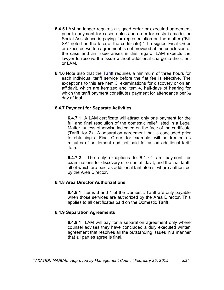- **6.4.5** LAM no longer requires a signed order or executed agreement prior to payment for cases unless an order for costs is made, or Social Assistance is paying for representation on the matter ("Bill SA" noted on the face of the certificate)." If a signed Final Order or executed written agreement is not provided at the conclusion of the case and an issue arises in this regard, LAM expects the lawyer to resolve the issue without additional charge to the client or LAM.
- **6.4.6** Note also that the [Tariff](http://www.legalaid.mb.ca/pdf/tariff_2008.pdf) requires a minimum of three hours for each individual tariff service before the flat fee is effective. The exceptions to this are item 3, examinations for discovery or on an affidavit, which are itemized and item 4, half-days of hearing for which the tariff payment constitutes payment for attendance per  $\frac{1}{2}$ day of trial.

#### **6.4.7 Payment for Separate Activities**

**6.4.7.1** A LAM certificate will attract only one payment for the full and final resolution of the domestic relief listed in a Legal Matter, unless otherwise indicated on the face of the certificate (Tariff 1or 2). A separation agreement that is concluded prior to obtaining a Final Order, for example, will be treated as minutes of settlement and not paid for as an additional tariff item.

**6.4.7.2** The only exceptions to 6.4.7.1 are payment for examinations for discovery or on an affidavit, and the trial tariff, all of which are paid as additional tariff items, where authorized by the Area Director.

#### **6.4.8 Area Director Authorizations**

**6.4.8.1** Items 3 and 4 of the Domestic Tariff are only payable when those services are authorized by the Area Director. This applies to all certificates paid on the Domestic Tariff.

#### **6.4.9 Separation Agreements**

**6.4.9.1** LAM will pay for a separation agreement only where counsel advises they have concluded a duly executed written agreement that resolves all the outstanding issues in a manner that all parties agree is final.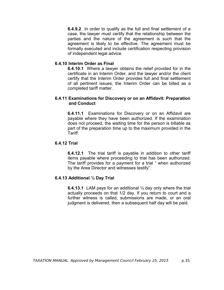**6.4.9.2** In order to qualify as the full and final settlement of a case, the lawyer must certify that the relationship between the parties and the nature of the agreement is such that the agreement is likely to be effective. The agreement must be formally executed and include certification respecting provision of independent legal advice.

#### **6.4.10 Interim Order as Final**

**6.4.10.1** Where a lawyer obtains the relief provided for in the certificate in an Interim Order, and the lawyer and/or the client certify that the Interim Order provides full and final settlement of all pertinent issues, the Interim Order can be billed as a completed tariff matter.

#### **6.4.11 Examinations for Discovery or on an Affidavit: Preparation and Conduct**

**6.4.11.1** Examinations for Discovery or on an Affidavit are payable where they have been authorized. If the examination does not proceed, the waiting time for the person is billable as part of the preparation time up to the maximum provided in the Tariff.

#### **6.4.12 Trial**

**6.4.12.1** The trial tariff is payable in addition to other tariff items payable where proceeding to trial has been authorized. The tariff provides for a payment for a trial " when authorized by the Area Director and witnesses testify".

#### **6.4.13 Additional ½ Day Trial**

**6.4.13.1** LAM pays for an additional ½ day only where the trial actually proceeds on that 1/2 day. If you return to court and a further witness is called, submissions are made, or an oral judgment is delivered, then a subsequent half day will be paid.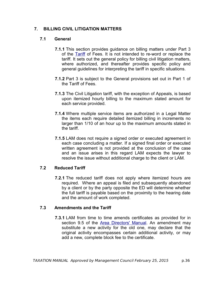# <span id="page-45-0"></span>**7. BILLING CIVIL LITIGATION MATTERS**

#### **7.1 General**

- **7.1.1** This section provides guidance on billing matters under Part 3 of the [Tariff](http://www.legalaid.mb.ca/pdf/tariff_2008.pdf) of Fees. It is not intended to re-word or replace the tariff. It sets out the general policy for billing civil litigation matters, where authorized, and thereafter provides specific policy and general guidelines for interpreting the tariff in specific situations.
- **7.1.2** Part 3 is subject to the General provisions set out in Part 1 of the Tariff of Fees.
- **7.1.3** The Civil Litigation tariff, with the exception of Appeals, is based upon itemized hourly billing to the maximum stated amount for each service provided.
- **7.1.4** Where multiple service items are authorized in a Legal Matter the items each require detailed itemized billing in increments no larger than 1/10 of an hour up to the maximum amounts stated in the tariff.
- **7.1.5** LAM does not require a signed order or executed agreement in each case concluding a matter. If a signed final order or executed written agreement is not provided at the conclusion of the case and an issue arises in this regard LAM expects the lawyer to resolve the issue without additional charge to the client or LAM.

# **7.2 Reduced Tariff**

 **7.2.1** The reduced tariff does not apply where itemized hours are required. Where an appeal is filed and subsequently abandoned by a client or by the party opposite the ED will determine whether the full tariff is payable based on the proximity to the hearing date and the amount of work completed.

#### **7.3 Amendments and the Tariff**

 **7.3.1** LAM from time to time amends certificates as provided for in section 9.5 of the [Area Directors' Manual.](http://www.legalaid.mb.ca/pdf/ADM_EXTERNAL_May27_2014.pdf) An amendment may substitute a new activity for the old one, may declare that the original activity encompasses certain additional activity, or may add a new, complete block fee to the certificate.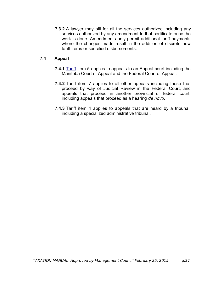**7.3.2** A lawyer may bill for all the services authorized including any services authorized by any amendment to that certificate once the work is done. Amendments only permit additional tariff payments where the changes made result in the addition of discrete new tariff items or specified disbursements.

# **7.4 Appeal**

- **7.4.1** [Tariff](http://www.legalaid.mb.ca/pdf/tariff_2008.pdf) item 5 applies to appeals to an Appeal court including the Manitoba Court of Appeal and the Federal Court of Appeal.
- **7.4.2** Tariff item 7 applies to all other appeals including those that proceed by way of Judicial Review in the Federal Court, and appeals that proceed in another provincial or federal court, including appeals that proceed as a hearing *de novo*.
- **7.4.3** Tariff item 4 applies to appeals that are heard by a tribunal, including a specialized administrative tribunal.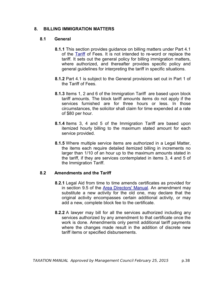## <span id="page-47-0"></span> **8. BILLING IMMIGRATION MATTERS**

#### **8.1 General**

- **8.1.1** This section provides guidance on billing matters under Part 4.1 of the [Tariff](http://www.legalaid.mb.ca/pdf/tariff_2008.pdf) of Fees. It is not intended to re-word or replace the tariff. It sets out the general policy for billing immigration matters, where authorized, and thereafter provides specific policy and general guidelines for interpreting the tariff in specific situations.
- **8.1.2** Part 4.1 is subject to the General provisions set out in Part 1 of the Tariff of Fees.
- **8.1.3** Items 1, 2 and 6 of the Immigration Tariff are based upon block tariff amounts. The block tariff amounts items do not apply if the services furnished are for three hours or less. In those circumstances, the solicitor shall claim for time expended at a rate of \$80 per hour.
- **8.1.4** Items 3, 4 and 5 of the Immigration Tariff are based upon itemized hourly billing to the maximum stated amount for each service provided.
- **8.1.5** Where multiple service items are authorized in a Legal Matter, the items each require detailed itemized billing in increments no larger than 1/10 of an hour up to the maximum amounts stated in the tariff, if they are services contemplated in items 3, 4 and 5 of the Immigration Tariff.

#### **8.2 Amendments and the Tariff**

- **8.2.1** Legal Aid from time to time amends certificates as provided for in section 9.5 of the [Area Directors' Manual.](http://www.legalaid.mb.ca/pdf/ADM_EXTERNAL_May27_2014.pdf) An amendment may substitute a new activity for the old one, may declare that the original activity encompasses certain additional activity, or may add a new, complete block fee to the certificate.
- **8.2.2** A lawyer may bill for all the services authorized including any services authorized by any amendment to that certificate once the work is done. Amendments only permit additional tariff payments where the changes made result in the addition of discrete new tariff items or specified disbursements.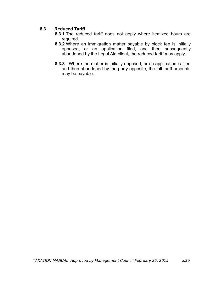# **8.3 Reduced Tariff**

- **8.3.1** The reduced tariff does not apply where itemized hours are required.
- **8.3.2** Where an immigration matter payable by block fee is initially opposed, or an application filed, and then subsequently abandoned by the Legal Aid client, the reduced tariff may apply.
- **8.3.3** Where the matter is initially opposed, or an application is filed and then abandoned by the party opposite, the full tariff amounts may be payable.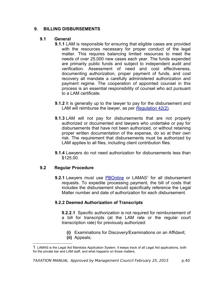# <span id="page-49-0"></span> **9. BILLING DISBURSEMENTS**

## **9.1 General**

- **9.1.1** LAM is responsible for ensuring that eligible cases are provided with the resources necessary for proper conduct of the legal matter. This requires balancing limited resources to meet the needs of over 25,000 new cases each year. The funds expended are primarily public funds and subject to independent audit and verification. Assessment of need and cost effectiveness, documenting authorization, proper payment of funds, and cost recovery all mandate a carefully administered authorization and payment regime. The cooperation of appointed counsel in this process is an essential responsibility of counsel who act pursuant to a LAM certificate.
- **9.1.2** It is generally up to the lawyer to pay for the disbursement and LAM will reimburse the lawyer, as per *[Regulation](http://web2.gov.mb.ca/laws/regs/current/_pdf-regs.php?reg=225/91)* 42(2).
- **9.1.3** LAM will not pay for disbursements that are not properly authorized or documented and lawyers who undertake or pay for disbursements that have not been authorized, or without retaining proper written documentation of the expense, do so at their own risk. The requirement that disbursements must be authorized by LAM applies to all files, including client contribution files.
- **9.1.4** Lawyers do not need authorization for disbursements less than \$125.00.

# **9.2 Regular Procedure**

**9.2.[1](#page-49-1)** Lawyers must use **PBOnline** or LAMAS<sup>1</sup> for all disbursement requests. To expedite processing payment, the bill of costs that includes the disbursement should specifically reference the Legal Matter number and date of authorization for each disbursement.

# **9.2.2 Deemed Authorization of Transcripts**

**9.2.2.1** Specific authorization is not required for reimbursement of a bill for transcripts (at the LAM rate or the regular court transcription rate) for previously authorized:

- **(i)** Examinations for Discovery/Examinations on an Affidavit;
- **(ii)** Appeals;

<span id="page-49-1"></span><sup>1</sup> LAMAS is the Legal Aid Manitoba Application System. It keeps track of all Legal Aid applications, both for the private bar and LAM staff, and what happens on those matters.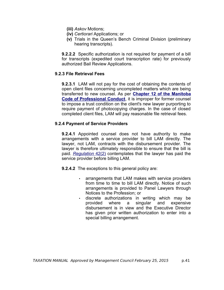- **(iii)** *Askov* Motions;
- **(iv)** *Certiorari* Applications; or
- **(v)** Trials in the Queen's Bench Criminal Division (preliminary hearing transcripts).

**9.2.2.2** Specific authorization is not required for payment of a bill for transcripts (expedited court transcription rate) for previously authorized Bail Review Applications.

#### **9.2.3 File Retrieval Fees**

**9.2.3.1** LAM will not pay for the cost of obtaining the contents of open client files concerning uncompleted matters which are being transferred to new counsel. As per **[Chapter 12 of the Manitoba](http://www.lawsociety.mb.ca/lawyer-regulation/practice-directions/94-02-transfer-of-open-files-to-new-lawye) [Code of Professional Conduct](http://www.lawsociety.mb.ca/lawyer-regulation/practice-directions/94-02-transfer-of-open-files-to-new-lawye)**, it is improper for former counsel to impose a trust condition on the client's new lawyer purporting to require payment of photocopying charges. In the case of closed completed client files, LAM will pay reasonable file retrieval fees.

#### **9.2.4 Payment of Service Providers**

**9.2.4.1** Appointed counsel does not have authority to make arrangements with a service provider to bill LAM directly. The lawyer, not LAM, contracts with the disbursement provider. The lawyer is therefore ultimately responsible to ensure that the bill is paid. *[Regulation](http://web2.gov.mb.ca/laws/regs/current/_pdf-regs.php?reg=225/91)* 42(2) contemplates that the lawyer has paid the service provider before billing LAM.

- **9.2.4.2** The exceptions to this general policy are:
	- arrangements that LAM makes with service providers from time to time to bill LAM directly. Notice of such arrangements is provided to Panel Lawyers through Notices to the Profession; or
	- discrete authorizations in writing which may be provided where a singular and expensive disbursement is in view and the Executive Director has given prior written authorization to enter into a special billing arrangement.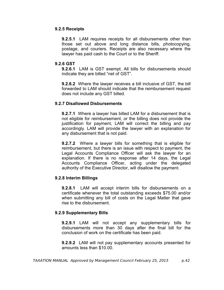#### **9.2.5 Receipts**

**9.2.5.1** LAM requires receipts for all disbursements other than those set out above and long distance bills, photocopying, postage, and couriers. Receipts are also necessary where the lawyer has paid cash to the Court or to the Sheriff.

#### **9.2.6 GST**

**9.2.6.1** LAM is GST exempt. All bills for disbursements should indicate they are billed "net of GST".

**9.2.6.2** Where the lawyer receives a bill inclusive of GST, the bill forwarded to LAM should indicate that the reimbursement request does not include any GST billed.

#### **9.2.7 Disallowed Disbursements**

**9.2.7.1** Where a lawyer has billed LAM for a disbursement that is not eligible for reimbursement, or the billing does not provide the justification for payment, LAM will correct the billing and pay accordingly. LAM will provide the lawyer with an explanation for any disbursement that is not paid.

**9.2.7.2** Where a lawyer bills for something that is eligible for reimbursement, but there is an issue with respect to payment, the Legal Accounts Compliance Officer will ask the lawyer for an explanation. If there is no response after 14 days, the Legal Accounts Compliance Officer, acting under the delegated authority of the Executive Director, will disallow the payment.

#### **9.2.8 Interim Billings**

**9.2.8.1** LAM will accept interim bills for disbursements on a certificate whenever the total outstanding exceeds \$75.00 and/or when submitting any bill of costs on the Legal Matter that gave rise to the disbursement.

#### **9.2.9 Supplementary Bills**

**9.2.9.1** LAM will not accept any supplementary bills for disbursements more than 30 days after the final bill for the conclusion of work on the certificate has been paid.

**9.2.9.2** LAM will not pay supplementary accounts presented for amounts less than \$10.00.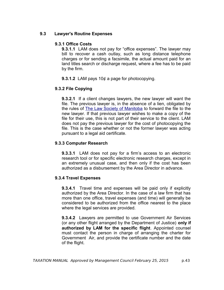# <span id="page-52-0"></span> **9.3 Lawyer's Routine Expenses**

## **9.3.1 Office Costs**

**9.3.1.1** LAM does not pay for "office expenses". The lawyer may bill to recover a cash outlay, such as long distance telephone charges or for sending a facsimile, the actual amount paid for an land titles search or discharge request, where a fee has to be paid by the firm.

**9.3.1.2** LAM pays 10¢ a page for photocopying.

# **9.3.2 File Copying**

**9.3.2.1** If a client changes lawyers, the new lawyer will want the file. The previous lawyer is, in the absence of a lien, obligated by the rules of [The Law Society of Manitoba](http://www.lawsociety.mb.ca/lawyer-regulation/practice-directions/94-02-transfer-of-open-files-to-new-lawye) to forward the file to the new lawyer. If that previous lawyer wishes to make a copy of the file for their use, this is not part of their service to the client. LAM does not pay the previous lawyer for the cost of photocopying the file. This is the case whether or not the former lawyer was acting pursuant to a legal aid certificate.

# **9.3.3 Computer Research**

**9.3.3.1** LAM does not pay for a firm's access to an electronic research tool or for specific electronic research charges, except in an extremely unusual case, and then only if the cost has been authorized as a disbursement by the Area Director in advance.

#### **9.3.4 Travel Expenses**

**9.3.4.1** Travel time and expenses will be paid only if explicitly authorized by the Area Director. In the case of a law firm that has more than one office, travel expenses (and time) will generally be considered to be authorized from the office nearest to the place where the legal services are provided.

**9.3.4.2** Lawyers are permitted to use Government Air Services (or any other flight arranged by the Department of Justice) **only if authorized by LAM for the specific flight**. Appointed counsel must contact the person in charge of arranging the charter for Government Air, and provide the certificate number and the date of the flight.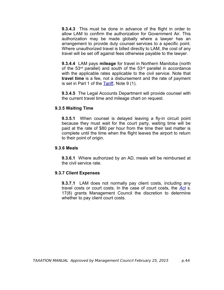**9.3.4.3** This must be done in advance of the flight in order to allow LAM to confirm the authorization for Government Air. This authorization may be made globally where a lawyer has an arrangement to provide duty counsel services to a specific point. Where unauthorized travel is billed directly to LAM, the cost of any travel will be set off against fees otherwise payable to the lawyer.

**9.3.4.4** LAM pays **mileage** for travel in Northern Manitoba (north of the 53<sup>rd</sup> parallel) and south of the 53<sup>rd</sup> parallel in accordance with the applicable rates applicable to the civil service. Note that **travel time** is a fee, not a disbursement and the rate of payment is set in Part 1 of the [Tariff,](http://www.legalaid.mb.ca/pdf/tariff_2008.pdf) Note 9 (1).

**9.3.4.5** The Legal Accounts Department will provide counsel with the current travel time and mileage chart on request.

#### **9.3.5 Waiting Time**

**9.3.5.1** When counsel is delayed leaving a fly-in circuit point because they must wait for the court party, waiting time will be paid at the rate of \$80 per hour from the time their last matter is complete until the time when the flight leaves the airport to return to their point of origin.

#### **9.3.6 Meals**

**9.3.6.1** Where authorized by an AD, meals will be reimbursed at the civil service rate.

#### **9.3.7 Client Expenses**

**9.3.7.1** LAM does not normally pay client costs, including any travel costs or court costs. In the case of court costs, the *[Act](http://web2.gov.mb.ca/laws/statutes/ccsm/l105e.php)* s. 17(8) grants Management Council the discretion to determine whether to pay client court costs.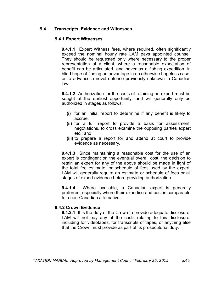#### <span id="page-54-0"></span> **9.4 Transcripts, Evidence and Witnesses**

#### **9.4.1 Expert Witnesses**

**9.4.1.1** Expert Witness fees, where required, often significantly exceed the nominal hourly rate LAM pays appointed counsel. They should be requested only where necessary to the proper representation of a client, where a reasonable expectation of benefit can be articulated, and never as a fishing expedition, in blind hope of finding an advantage in an otherwise hopeless case, or to advance a novel defence previously unknown in Canadian law.

**9.4.1.2** Authorization for the costs of retaining an expert must be sought at the earliest opportunity, and will generally only be authorized in stages as follows:

- **(i)** for an initial report to determine if any benefit is likely to accrue;
- **(ii)** for a full report to provide a basis for assessment, negotiations, to cross examine the opposing parties expert etc.; and
- **(iii)** to prepare a report for and attend at court to provide evidence as necessary.

**9.4.1.3** Since maintaining a reasonable cost for the use of an expert is contingent on the eventual overall cost, the decision to retain an expert for any of the above should be made in light of the total fee estimate, or schedule of fees used by the expert. LAM will generally require an estimate or schedule of fees or all stages of expert evidence before providing authorization.

**9.4.1.4** Where available, a Canadian expert is generally preferred, especially where their expertise and cost is comparable to a non-Canadian alternative.

#### **9.4.2 Crown Evidence**

**9.4.2.1** It is the duty of the Crown to provide adequate disclosure. LAM will not pay any of the costs relating to this disclosure, including for videotapes, for transcripts of tapes, or anything else that the Crown must provide as part of its prosecutorial duty.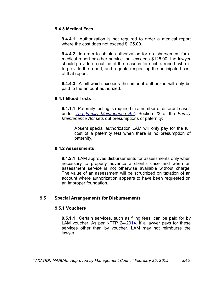#### <span id="page-55-0"></span> **9.4.3 Medical Fees**

**9.4.4.1** Authorization is not required to order a medical report where the cost does not exceed \$125.00.

**9.4.4.2** In order to obtain authorization for a disbursement for a medical report or other service that exceeds \$125.00, the lawyer should provide an outline of the reasons for such a report, who is to provide the report, and a quote respecting the anticipated cost of that report.

**9.4.4.3** A bill which exceeds the amount authorized will only be paid to the amount authorized.

#### **9.4.1 Blood Tests**

**9.4.1.1** Paternity testing is required in a number of different cases under *The [Family Maintenance Act](http://web2.gov.mb.ca/laws/statutes/ccsm/f020e.php)*. Section 23 of the *Family Maintenance Act* sets out presumptions of paternity:

Absent special authorization LAM will only pay for the full cost of a paternity test when there is no presumption of paternity.

#### **9.4.2 Assessments**

**9.4.2.1** LAM approves disbursements for assessments only when necessary to properly advance a client's case and when an assessment service is not otherwise available without charge. The value of an assessment will be scrutinized on taxation of an account where authorization appears to have been requested on an improper foundation.

#### **9.5 Special Arrangements for Disbursements**

#### **9.5.1 Vouchers**

**9.5.1.1** Certain services, such as filing fees, can be paid for by LAM voucher. As per [NTTP 24-2014,](http://www.legalaid.mb.ca/pdf/np_24_2014.pdf) if a lawyer pays for these services other than by voucher, LAM may not reimburse the lawyer.